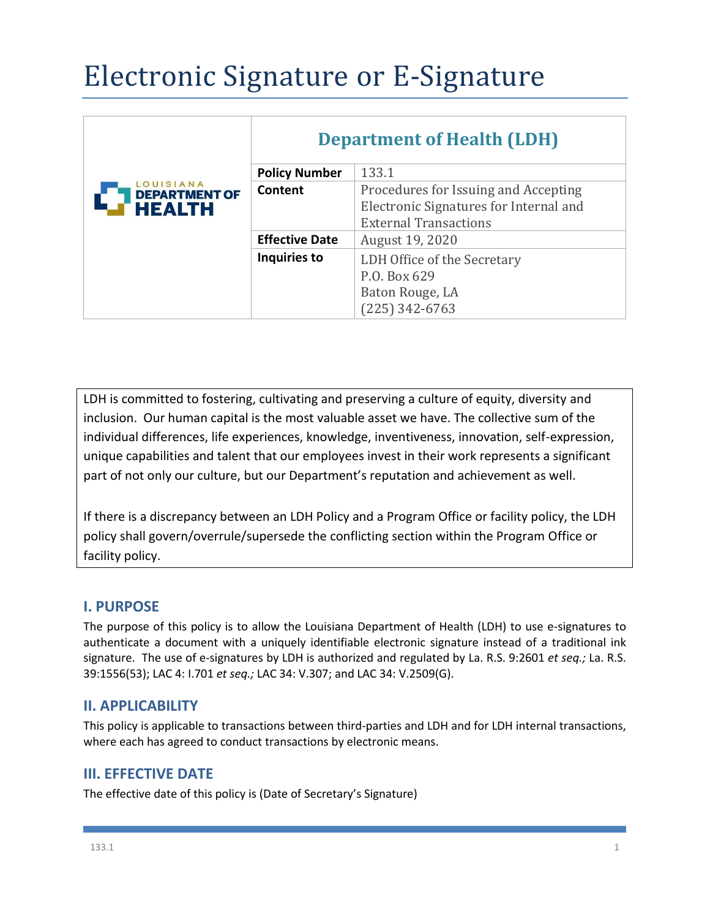# Electronic Signature or E-Signature

|                                                    | <b>Department of Health (LDH)</b> |                                        |
|----------------------------------------------------|-----------------------------------|----------------------------------------|
|                                                    | <b>Policy Number</b>              | 133.1                                  |
| LOUISIANA<br><b>DEPARTMENT OF</b><br><b>HEALTH</b> | Content                           | Procedures for Issuing and Accepting   |
|                                                    |                                   | Electronic Signatures for Internal and |
|                                                    |                                   | <b>External Transactions</b>           |
|                                                    | <b>Effective Date</b>             | August 19, 2020                        |
|                                                    | Inquiries to                      | LDH Office of the Secretary            |
|                                                    |                                   | P.O. Box 629                           |
|                                                    |                                   | Baton Rouge, LA                        |
|                                                    |                                   | $(225)$ 342-6763                       |

LDH is committed to fostering, cultivating and preserving a culture of equity, diversity and inclusion. Our human capital is the most valuable asset we have. The collective sum of the individual differences, life experiences, knowledge, inventiveness, innovation, self-expression, unique capabilities and talent that our employees invest in their work represents a significant part of not only our culture, but our Department's reputation and achievement as well.

If there is a discrepancy between an LDH Policy and a Program Office or facility policy, the LDH policy shall govern/overrule/supersede the conflicting section within the Program Office or facility policy.

## **I. PURPOSE**

The purpose of this policy is to allow the Louisiana Department of Health (LDH) to use e-signatures to authenticate a document with a uniquely identifiable electronic signature instead of a traditional ink signature. The use of e-signatures by LDH is authorized and regulated by La. R.S. 9:2601 *et seq.;* La. R.S. 39:1556(53); LAC 4: I.701 *et seq.;* LAC 34: V.307; and LAC 34: V.2509(G).

### **II. APPLICABILITY**

This policy is applicable to transactions between third-parties and LDH and for LDH internal transactions, where each has agreed to conduct transactions by electronic means.

### **III. EFFECTIVE DATE**

The effective date of this policy is (Date of Secretary's Signature)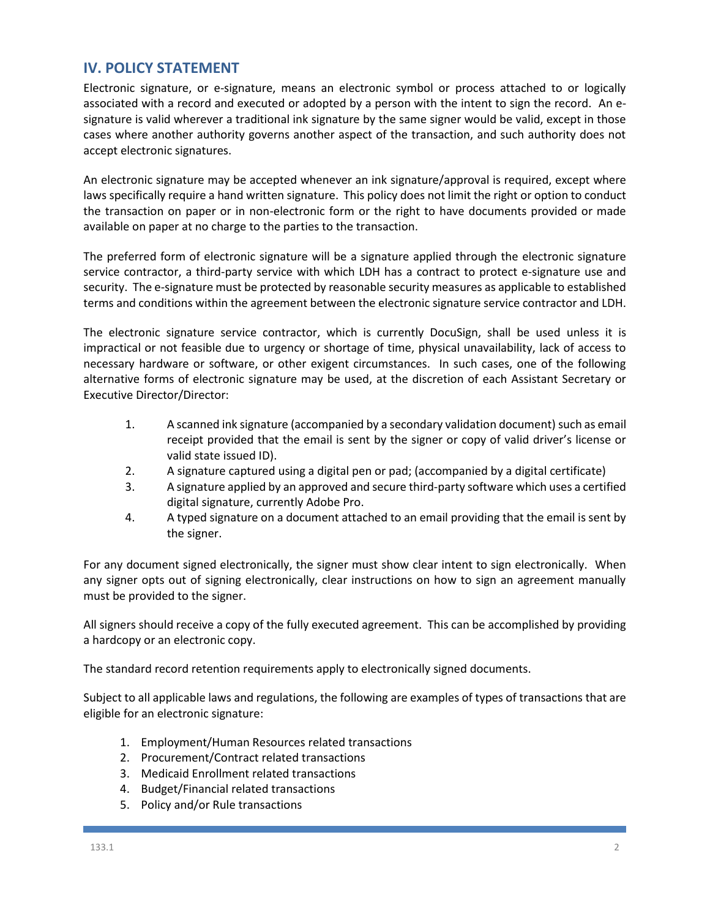#### **IV. POLICY STATEMENT**

Electronic signature, or e-signature, means an electronic symbol or process attached to or logically associated with a record and executed or adopted by a person with the intent to sign the record. An esignature is valid wherever a traditional ink signature by the same signer would be valid, except in those cases where another authority governs another aspect of the transaction, and such authority does not accept electronic signatures.

An electronic signature may be accepted whenever an ink signature/approval is required, except where laws specifically require a hand written signature. This policy does not limit the right or option to conduct the transaction on paper or in non-electronic form or the right to have documents provided or made available on paper at no charge to the parties to the transaction.

The preferred form of electronic signature will be a signature applied through the electronic signature service contractor, a third-party service with which LDH has a contract to protect e-signature use and security. The e-signature must be protected by reasonable security measures as applicable to established terms and conditions within the agreement between the electronic signature service contractor and LDH.

The electronic signature service contractor, which is currently DocuSign, shall be used unless it is impractical or not feasible due to urgency or shortage of time, physical unavailability, lack of access to necessary hardware or software, or other exigent circumstances. In such cases, one of the following alternative forms of electronic signature may be used, at the discretion of each Assistant Secretary or Executive Director/Director:

- 1. A scanned ink signature (accompanied by a secondary validation document) such as email receipt provided that the email is sent by the signer or copy of valid driver's license or valid state issued ID).
- 2. A signature captured using a digital pen or pad; (accompanied by a digital certificate)
- 3. A signature applied by an approved and secure third-party software which uses a certified digital signature, currently Adobe Pro.
- 4. A typed signature on a document attached to an email providing that the email is sent by the signer.

For any document signed electronically, the signer must show clear intent to sign electronically. When any signer opts out of signing electronically, clear instructions on how to sign an agreement manually must be provided to the signer.

All signers should receive a copy of the fully executed agreement. This can be accomplished by providing a hardcopy or an electronic copy.

The standard record retention requirements apply to electronically signed documents.

Subject to all applicable laws and regulations, the following are examples of types of transactions that are eligible for an electronic signature:

- 1. Employment/Human Resources related transactions
- 2. Procurement/Contract related transactions
- 3. Medicaid Enrollment related transactions
- 4. Budget/Financial related transactions
- 5. Policy and/or Rule transactions